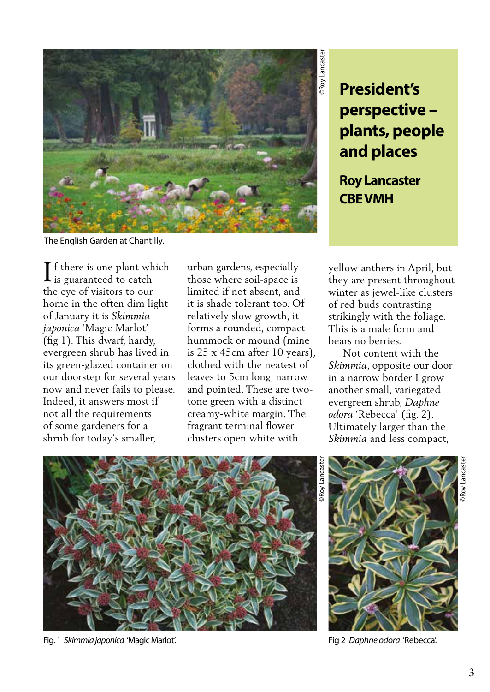

The English Garden at Chantilly.

f there is one plant which  $\mathbf 1$  is guaranteed to catch the eye of visitors to our home in the often dim light of January it is *Skimmia japonica* 'Magic Marlot' (fig 1). This dwarf, hardy, evergreen shrub has lived in its green-glazed container on our doorstep for several years now and never fails to please. Indeed, it answers most if not all the requirements of some gardeners for a shrub for today's smaller, If there is one plant which urban gardens, especially yellow anthers in April, but<br>they are present throughout they are present throughout

urban gardens, especially those where soil-space is limited if not absent, and it is shade tolerant too. Of relatively slow growth, it forms a rounded, compact hummock or mound (mine is 25 x 45cm after 10 years), clothed with the neatest of leaves to 5cm long, narrow and pointed. These are twotone green with a distinct creamy-white margin. The fragrant terminal flower clusters open white with

**President's perspective – plants, people and places**

**Roy Lancaster CBE VMH** 

winter as jewel-like clusters of red buds contrasting strikingly with the foliage. This is a male form and bears no berries.

 Not content with the *Skimmia*, opposite our door in a narrow border I grow another small, variegated evergreen shrub, *Daphne odora* 'Rebecca' (fig. 2). Ultimately larger than the *Skimmia* and less compact,



Fig. 1 *Skimmia japonica* 'Magic Marlot'. Fig 2 *Daphne odora* 'Rebecca'.

©Roy Lancaster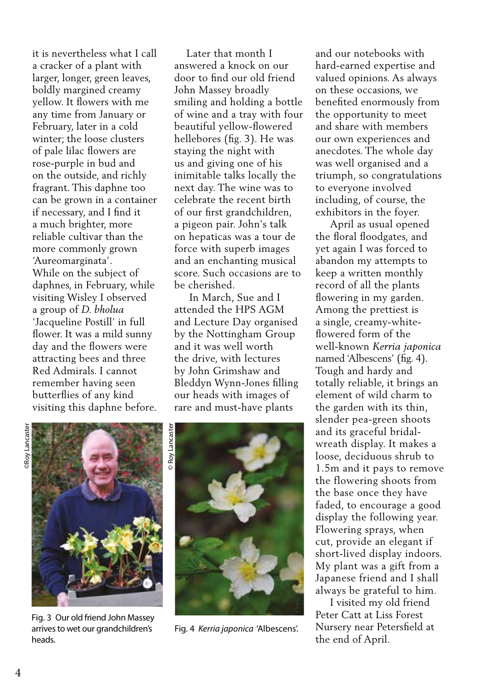it is nevertheless what I call a cracker of a plant with larger, longer, green leaves, boldly margined creamy yellow. It flowers with me any time from January or February, later in a cold winter; the loose clusters of pale lilac flowers are rose-purple in bud and on the outside, and richly fragrant. This daphne too can be grown in a container if necessary, and I find it a much brighter, more reliable cultivar than the more commonly grown 'Aureomarginata'. While on the subject of daphnes, in February, while visiting Wisley I observed a group of *D. bholua* 'Jacqueline Postill' in full flower. It was a mild sunny day and the flowers were attracting bees and three Red Admirals. I cannot remember having seen butterflies of any kind visiting this daphne before.

 Later that month I answered a knock on our door to find our old friend John Massey broadly smiling and holding a bottle of wine and a tray with four beautiful yellow-flowered hellebores (fig. 3). He was staying the night with us and giving one of his inimitable talks locally the next day. The wine was to celebrate the recent birth of our first grandchildren, a pigeon pair. John's talk on hepaticas was a tour de force with superb images and an enchanting musical score. Such occasions are to be cherished.

 In March, Sue and I attended the HPS AGM and Lecture Day organised by the Nottingham Group and it was well worth the drive, with lectures by John Grimshaw and Bleddyn Wynn-Jones filling our heads with images of rare and must-have plants

and our notebooks with hard-earned expertise and valued opinions. As always on these occasions, we benefited enormously from the opportunity to meet and share with members our own experiences and anecdotes. The whole day was well organised and a triumph, so congratulations to everyone involved including, of course, the exhibitors in the foyer.

 April as usual opened the floral floodgates, and yet again I was forced to abandon my attempts to keep a written monthly record of all the plants flowering in my garden. Among the prettiest is a single, creamy-whiteflowered form of the well-known *Kerria japonica*  named 'Albescens' (fig. 4). Tough and hardy and totally reliable, it brings an element of wild charm to the garden with its thin, slender pea-green shoots and its graceful bridalwreath display. It makes a loose, deciduous shrub to 1.5m and it pays to remove the flowering shoots from the base once they have faded, to encourage a good display the following year. Flowering sprays, when cut, provide an elegant if short-lived display indoors. My plant was a gift from a Japanese friend and I shall always be grateful to him.

 I visited my old friend Peter Catt at Liss Forest Nursery near Petersfield at the end of April.



Fig. 3 Our old friend John Massey arrives to wet our grandchildren's heads.



Fig. 4 *Kerria japonica* 'Albescens'.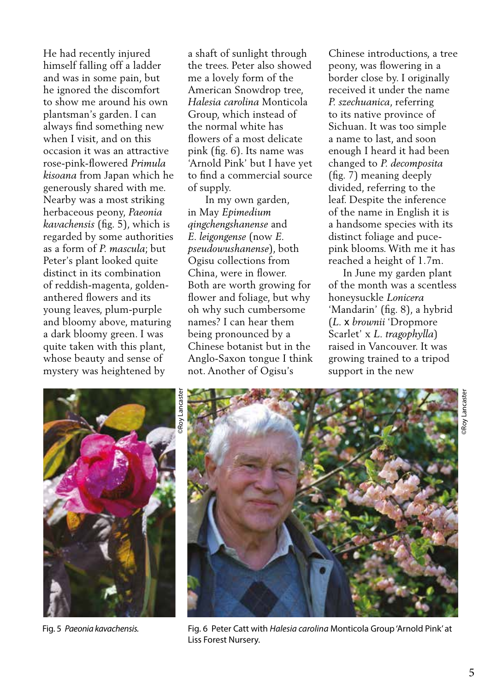He had recently injured himself falling off a ladder and was in some pain, but he ignored the discomfort to show me around his own plantsman's garden. I can always find something new when I visit, and on this occasion it was an attractive rose-pink-flowered *Primula kisoana* from Japan which he generously shared with me. Nearby was a most striking herbaceous peony, *Paeonia kavachensis* (fig. 5), which is regarded by some authorities as a form of *P. mascula*; but Peter's plant looked quite distinct in its combination of reddish-magenta, goldenanthered flowers and its young leaves, plum-purple and bloomy above, maturing a dark bloomy green. I was quite taken with this plant, whose beauty and sense of mystery was heightened by

a shaft of sunlight through the trees. Peter also showed me a lovely form of the American Snowdrop tree, *Halesia carolina* Monticola Group, which instead of the normal white has flowers of a most delicate pink (fig. 6). Its name was 'Arnold Pink' but I have yet to find a commercial source of supply.

 In my own garden, in May *Epimedium qingchengshanense* and *E. leigongense* (now *E. pseudowushanense*), both Ogisu collections from China, were in flower. Both are worth growing for flower and foliage, but why oh why such cumbersome names? I can hear them being pronounced by a Chinese botanist but in the Anglo-Saxon tongue I think not. Another of Ogisu's

Chinese introductions, a tree peony, was flowering in a border close by. I originally received it under the name *P. szechuanica*, referring to its native province of Sichuan. It was too simple a name to last, and soon enough I heard it had been changed to *P. decomposita* (fig. 7) meaning deeply divided, referring to the leaf. Despite the inference of the name in English it is a handsome species with its distinct foliage and pucepink blooms. With me it has reached a height of 1.7m.

 In June my garden plant of the month was a scentless honeysuckle *Lonicera* 'Mandarin' (fig. 8), a hybrid (*L.* x *brownii* 'Dropmore Scarlet' x *L. tragophylla*) raised in Vancouver. It was growing trained to a tripod support in the new





Fig. 5 *Paeonia kavachensis.* Fig. 6 Peter Catt with *Halesia carolina* Monticola Group 'Arnold Pink' at Liss Forest Nursery.

©Roy Lancaster

Roy Lancaste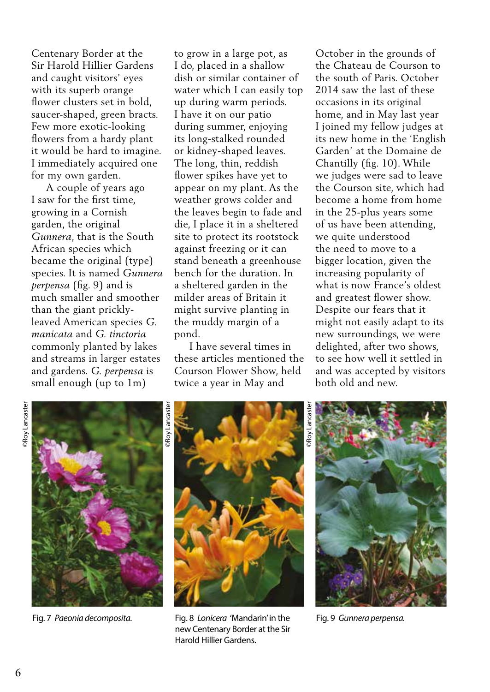Centenary Border at the Sir Harold Hillier Gardens and caught visitors' eyes with its superb orange flower clusters set in bold, saucer-shaped, green bracts. Few more exotic-looking flowers from a hardy plant it would be hard to imagine. I immediately acquired one for my own garden.

 A couple of years ago I saw for the first time, growing in a Cornish garden, the original *Gunnera*, that is the South African species which became the original (type) species. It is named *Gunnera perpensa* (fig. 9) and is much smaller and smoother than the giant pricklyleaved American species *G. manicata* and *G. tinctoria* commonly planted by lakes and streams in larger estates and gardens. *G. perpensa* is small enough (up to 1m)

to grow in a large pot, as I do, placed in a shallow dish or similar container of water which I can easily top up during warm periods. I have it on our patio during summer, enjoying its long-stalked rounded or kidney-shaped leaves. The long, thin, reddish flower spikes have yet to appear on my plant. As the weather grows colder and the leaves begin to fade and die, I place it in a sheltered site to protect its rootstock against freezing or it can stand beneath a greenhouse bench for the duration. In a sheltered garden in the milder areas of Britain it might survive planting in the muddy margin of a pond.

 I have several times in these articles mentioned the Courson Flower Show, held twice a year in May and

October in the grounds of the Chateau de Courson to the south of Paris. October 2014 saw the last of these occasions in its original home, and in May last year I joined my fellow judges at its new home in the 'English Garden' at the Domaine de Chantilly (fig. 10). While we judges were sad to leave the Courson site, which had become a home from home in the 25-plus years some of us have been attending, we quite understood the need to move to a bigger location, given the increasing popularity of what is now France's oldest and greatest flower show. Despite our fears that it might not easily adapt to its new surroundings, we were delighted, after two shows, to see how well it settled in and was accepted by visitors both old and new.







Fig. 7 *Paeonia decomposita.* Fig. 8 *Lonicera* 'Mandarin' in the Fig. 9 *Gunnera perpensa.* new Centenary Border at the Sir Harold Hillier Gardens.

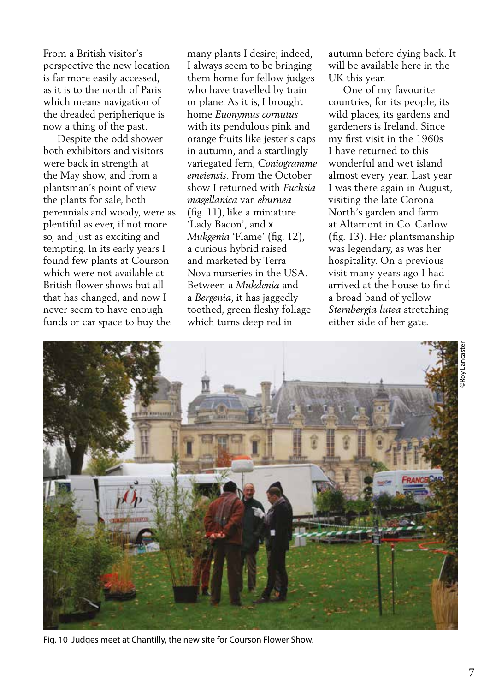From a British visitor's perspective the new location is far more easily accessed, as it is to the north of Paris which means navigation of the dreaded peripherique is now a thing of the past.

 Despite the odd shower both exhibitors and visitors were back in strength at the May show, and from a plantsman's point of view the plants for sale, both perennials and woody, were as plentiful as ever, if not more so, and just as exciting and tempting. In its early years I found few plants at Courson which were not available at British flower shows but all that has changed, and now I never seem to have enough funds or car space to buy the

many plants I desire; indeed, I always seem to be bringing them home for fellow judges who have travelled by train or plane. As it is, I brought home *Euonymus cornutus*  with its pendulous pink and orange fruits like jester's caps in autumn, and a startlingly variegated fern, *Coniogramme emeiensis*. From the October show I returned with *Fuchsia magellanica* var. *eburnea* (fig. 11), like a miniature 'Lady Bacon', and x *Mukgenia* 'Flame' (fig. 12), a curious hybrid raised and marketed by Terra Nova nurseries in the USA. Between a *Mukdenia* and a *Bergenia*, it has jaggedly toothed, green fleshy foliage which turns deep red in

autumn before dying back. It will be available here in the UK this year.

 One of my favourite countries, for its people, its wild places, its gardens and gardeners is Ireland. Since my first visit in the 1960s I have returned to this wonderful and wet island almost every year. Last year I was there again in August, visiting the late Corona North's garden and farm at Altamont in Co. Carlow (fig. 13). Her plantsmanship was legendary, as was her hospitality. On a previous visit many years ago I had arrived at the house to find a broad band of yellow *Sternbergia lutea* stretching either side of her gate.



Fig. 10 Judges meet at Chantilly, the new site for Courson Flower Show.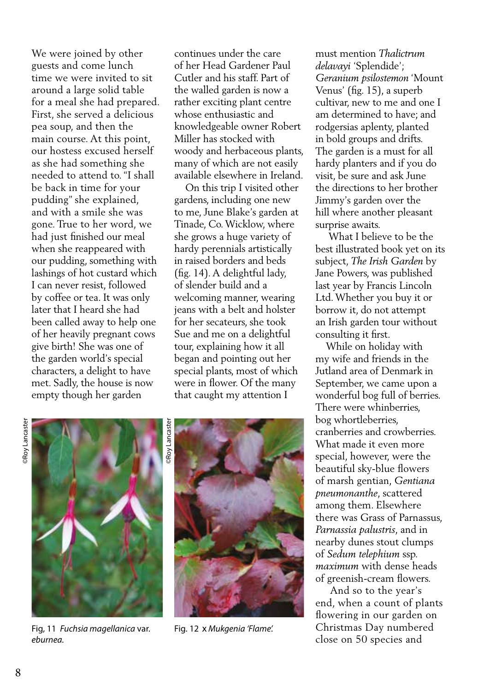We were joined by other guests and come lunch time we were invited to sit around a large solid table for a meal she had prepared. First, she served a delicious pea soup, and then the main course. At this point, our hostess excused herself as she had something she needed to attend to. "I shall be back in time for your pudding" she explained, and with a smile she was gone. True to her word, we had just finished our meal when she reappeared with our pudding, something with lashings of hot custard which I can never resist, followed by coffee or tea. It was only later that I heard she had been called away to help one of her heavily pregnant cows give birth! She was one of the garden world's special characters, a delight to have met. Sadly, the house is now empty though her garden

continues under the care of her Head Gardener Paul Cutler and his staff. Part of the walled garden is now a rather exciting plant centre whose enthusiastic and knowledgeable owner Robert Miller has stocked with woody and herbaceous plants, many of which are not easily available elsewhere in Ireland.

 On this trip I visited other gardens, including one new to me, June Blake's garden at Tinade, Co. Wicklow, where she grows a huge variety of hardy perennials artistically in raised borders and beds (fig. 14). A delightful lady, of slender build and a welcoming manner, wearing jeans with a belt and holster for her secateurs, she took Sue and me on a delightful tour, explaining how it all began and pointing out her special plants, most of which were in flower. Of the many that caught my attention I

must mention *Thalictrum delavayi* 'Splendide'; *Geranium psilostemon* 'Mount Venus' (fig. 15), a superb cultivar, new to me and one I am determined to have; and rodgersias aplenty, planted in bold groups and drifts. The garden is a must for all hardy planters and if you do visit, be sure and ask June the directions to her brother Jimmy's garden over the hill where another pleasant surprise awaits.

 What I believe to be the best illustrated book yet on its subject, *The Irish Garden* by Jane Powers, was published last year by Francis Lincoln Ltd. Whether you buy it or borrow it, do not attempt an Irish garden tour without consulting it first.

 While on holiday with my wife and friends in the Jutland area of Denmark in September, we came upon a wonderful bog full of berries. There were whinberries, bog whortleberries, cranberries and crowberries. What made it even more special, however, were the beautiful sky-blue flowers of marsh gentian, *Gentiana pneumonanthe*, scattered among them. Elsewhere there was Grass of Parnassus, *Parnassia palustris*, and in nearby dunes stout clumps of *Sedum telephium* ssp. *maximum* with dense heads of greenish-cream flowers.

 And so to the year's end, when a count of plants flowering in our garden on Christmas Day numbered close on 50 species and



Fig, 11 *Fuchsia magellanica* var. *eburnea.* 



Fig. 12x *Mukgenia 'Flame'.*